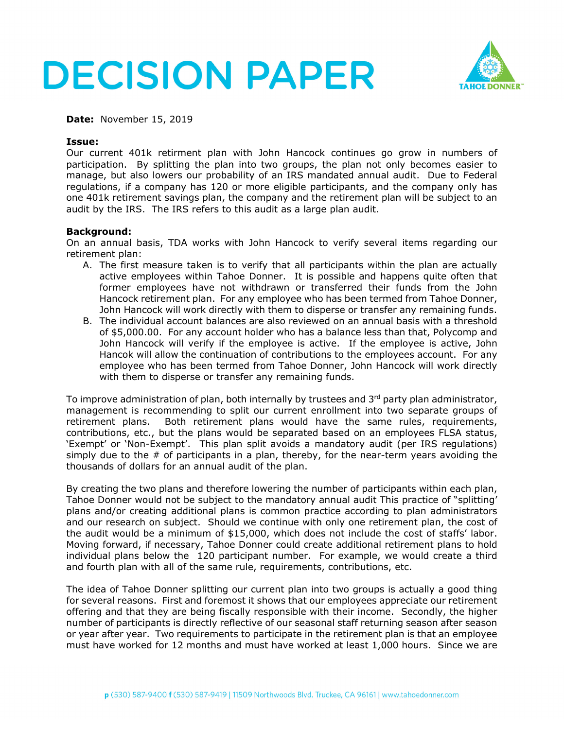



**Date:** November 15, 2019

## **Issue:**

Our current 401k retirment plan with John Hancock continues go grow in numbers of participation. By splitting the plan into two groups, the plan not only becomes easier to manage, but also lowers our probability of an IRS mandated annual audit. Due to Federal regulations, if a company has 120 or more eligible participants, and the company only has one 401k retirement savings plan, the company and the retirement plan will be subject to an audit by the IRS. The IRS refers to this audit as a large plan audit.

### **Background:**

On an annual basis, TDA works with John Hancock to verify several items regarding our retirement plan:

- A. The first measure taken is to verify that all participants within the plan are actually active employees within Tahoe Donner. It is possible and happens quite often that former employees have not withdrawn or transferred their funds from the John Hancock retirement plan. For any employee who has been termed from Tahoe Donner, John Hancock will work directly with them to disperse or transfer any remaining funds.
- B. The individual account balances are also reviewed on an annual basis with a threshold of \$5,000.00. For any account holder who has a balance less than that, Polycomp and John Hancock will verify if the employee is active. If the employee is active, John Hancok will allow the continuation of contributions to the employees account. For any employee who has been termed from Tahoe Donner, John Hancock will work directly with them to disperse or transfer any remaining funds.

To improve administration of plan, both internally by trustees and 3<sup>rd</sup> party plan administrator, management is recommending to split our current enrollment into two separate groups of retirement plans. Both retirement plans would have the same rules, requirements, contributions, etc., but the plans would be separated based on an employees FLSA status, 'Exempt' or 'Non-Exempt'. This plan split avoids a mandatory audit (per IRS regulations) simply due to the # of participants in a plan, thereby, for the near-term years avoiding the thousands of dollars for an annual audit of the plan.

By creating the two plans and therefore lowering the number of participants within each plan, Tahoe Donner would not be subject to the mandatory annual audit This practice of "splitting' plans and/or creating additional plans is common practice according to plan administrators and our research on subject. Should we continue with only one retirement plan, the cost of the audit would be a minimum of \$15,000, which does not include the cost of staffs' labor. Moving forward, if necessary, Tahoe Donner could create additional retirement plans to hold individual plans below the 120 participant number. For example, we would create a third and fourth plan with all of the same rule, requirements, contributions, etc.

The idea of Tahoe Donner splitting our current plan into two groups is actually a good thing for several reasons. First and foremost it shows that our employees appreciate our retirement offering and that they are being fiscally responsible with their income. Secondly, the higher number of participants is directly reflective of our seasonal staff returning season after season or year after year. Two requirements to participate in the retirement plan is that an employee must have worked for 12 months and must have worked at least 1,000 hours. Since we are